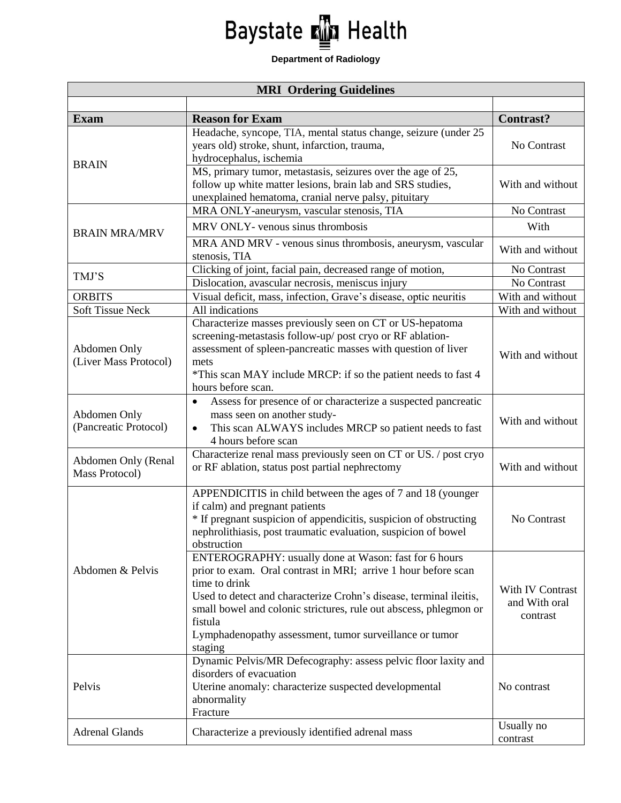## Baystate **M** Health

## **Department of Radiology**

| <b>MRI Ordering Guidelines</b>        |                                                                                           |                                   |  |
|---------------------------------------|-------------------------------------------------------------------------------------------|-----------------------------------|--|
|                                       |                                                                                           |                                   |  |
| <b>Exam</b>                           | <b>Reason for Exam</b><br>Headache, syncope, TIA, mental status change, seizure (under 25 | <b>Contrast?</b>                  |  |
| <b>BRAIN</b>                          | years old) stroke, shunt, infarction, trauma,                                             | No Contrast                       |  |
|                                       | hydrocephalus, ischemia                                                                   |                                   |  |
|                                       | MS, primary tumor, metastasis, seizures over the age of 25,                               |                                   |  |
|                                       | follow up white matter lesions, brain lab and SRS studies,                                | With and without                  |  |
|                                       | unexplained hematoma, cranial nerve palsy, pituitary                                      |                                   |  |
|                                       | MRA ONLY-aneurysm, vascular stenosis, TIA                                                 | No Contrast                       |  |
| <b>BRAIN MRA/MRV</b>                  | MRV ONLY- venous sinus thrombosis                                                         | With                              |  |
|                                       | MRA AND MRV - venous sinus thrombosis, aneurysm, vascular                                 |                                   |  |
|                                       | stenosis, TIA                                                                             | With and without                  |  |
| TMJ'S                                 | Clicking of joint, facial pain, decreased range of motion,                                | No Contrast                       |  |
|                                       | Dislocation, avascular necrosis, meniscus injury                                          | No Contrast                       |  |
| <b>ORBITS</b>                         | Visual deficit, mass, infection, Grave's disease, optic neuritis                          | With and without                  |  |
| <b>Soft Tissue Neck</b>               | All indications                                                                           | With and without                  |  |
|                                       | Characterize masses previously seen on CT or US-hepatoma                                  |                                   |  |
| Abdomen Only                          | screening-metastasis follow-up/ post cryo or RF ablation-                                 | With and without                  |  |
|                                       | assessment of spleen-pancreatic masses with question of liver                             |                                   |  |
| (Liver Mass Protocol)                 | mets                                                                                      |                                   |  |
|                                       | *This scan MAY include MRCP: if so the patient needs to fast 4                            |                                   |  |
|                                       | hours before scan.                                                                        |                                   |  |
|                                       | Assess for presence of or characterize a suspected pancreatic<br>$\bullet$                |                                   |  |
| Abdomen Only<br>(Pancreatic Protocol) | mass seen on another study-                                                               | With and without                  |  |
|                                       | This scan ALWAYS includes MRCP so patient needs to fast<br>$\bullet$                      |                                   |  |
|                                       | 4 hours before scan                                                                       |                                   |  |
| Abdomen Only (Renal                   | Characterize renal mass previously seen on CT or US. / post cryo                          |                                   |  |
| Mass Protocol)                        | or RF ablation, status post partial nephrectomy                                           | With and without                  |  |
| Abdomen & Pelvis                      | APPENDICITIS in child between the ages of 7 and 18 (younger                               |                                   |  |
|                                       | if calm) and pregnant patients                                                            |                                   |  |
|                                       | * If pregnant suspicion of appendicitis, suspicion of obstructing                         | No Contrast                       |  |
|                                       | nephrolithiasis, post traumatic evaluation, suspicion of bowel                            |                                   |  |
|                                       | obstruction                                                                               |                                   |  |
|                                       | ENTEROGRAPHY: usually done at Wason: fast for 6 hours                                     |                                   |  |
|                                       | prior to exam. Oral contrast in MRI; arrive 1 hour before scan                            | With IV Contrast<br>and With oral |  |
|                                       | time to drink                                                                             |                                   |  |
|                                       | Used to detect and characterize Crohn's disease, terminal ileitis,                        |                                   |  |
|                                       | small bowel and colonic strictures, rule out abscess, phlegmon or                         |                                   |  |
|                                       | fistula                                                                                   | contrast                          |  |
|                                       | Lymphadenopathy assessment, tumor surveillance or tumor                                   |                                   |  |
|                                       | staging                                                                                   |                                   |  |
| Pelvis                                | Dynamic Pelvis/MR Defecography: assess pelvic floor laxity and                            |                                   |  |
|                                       | disorders of evacuation                                                                   |                                   |  |
|                                       | Uterine anomaly: characterize suspected developmental                                     | No contrast                       |  |
|                                       | abnormality<br>Fracture                                                                   |                                   |  |
|                                       |                                                                                           | Usually no                        |  |
| <b>Adrenal Glands</b>                 | Characterize a previously identified adrenal mass                                         | contrast                          |  |